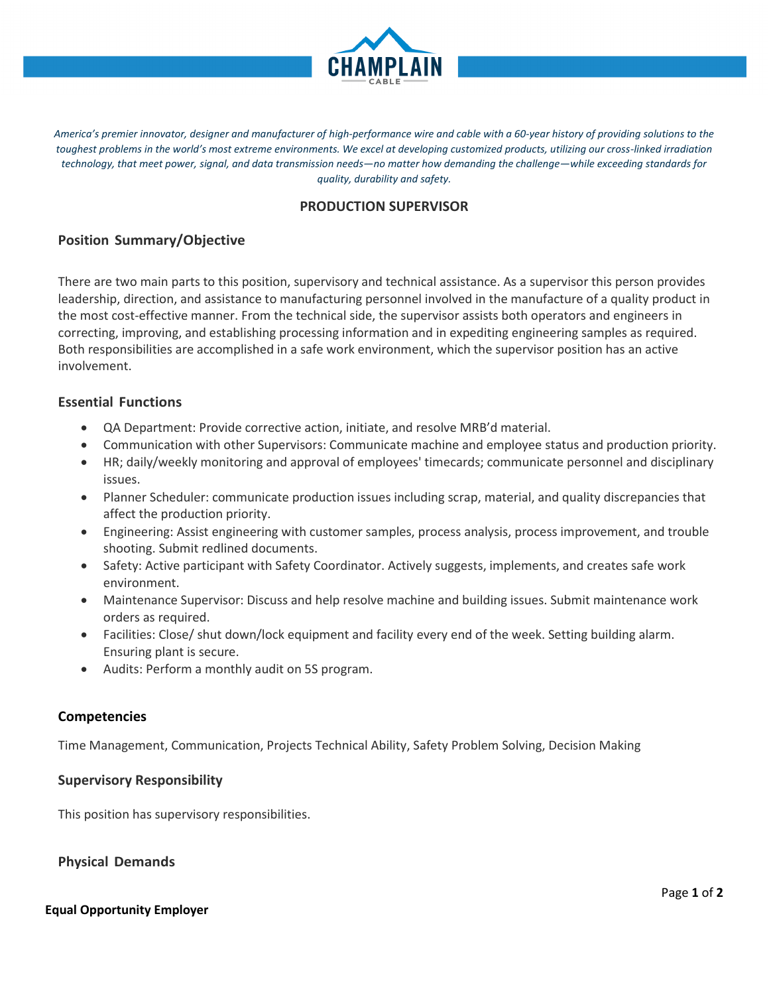

America's premier innovator, designer and manufacturer of high-performance wire and cable with a 60-year history of providing solutions to the *toughest problems in the world's most extreme environments. We excel at developing customized products, utilizing our cross-linked irradiation technology, that meet power, signal, and data transmission needs—no matter how demanding the challenge—while exceeding standards for quality, durability and safety.*

# **PRODUCTION SUPERVISOR**

# **Position Summary/Objective**

There are two main parts to this position, supervisory and technical assistance. As a supervisor this person provides leadership, direction, and assistance to manufacturing personnel involved in the manufacture of a quality product in the most cost-effective manner. From the technical side, the supervisor assists both operators and engineers in correcting, improving, and establishing processing information and in expediting engineering samples as required. Both responsibilities are accomplished in a safe work environment, which the supervisor position has an active involvement.

### **Essential Functions**

- QA Department: Provide corrective action, initiate, and resolve MRB'd material.
- Communication with other Supervisors: Communicate machine and employee status and production priority.
- HR; daily/weekly monitoring and approval of employees' timecards; communicate personnel and disciplinary issues.
- Planner Scheduler: communicate production issues including scrap, material, and quality discrepancies that affect the production priority.
- Engineering: Assist engineering with customer samples, process analysis, process improvement, and trouble shooting. Submit redlined documents.
- Safety: Active participant with Safety Coordinator. Actively suggests, implements, and creates safe work environment.
- Maintenance Supervisor: Discuss and help resolve machine and building issues. Submit maintenance work orders as required.
- Facilities: Close/ shut down/lock equipment and facility every end of the week. Setting building alarm. Ensuring plant is secure.
- Audits: Perform a monthly audit on 5S program.

#### **Competencies**

Time Management, Communication, Projects Technical Ability, Safety Problem Solving, Decision Making

### **Supervisory Responsibility**

This position has supervisory responsibilities.

**Physical Demands**